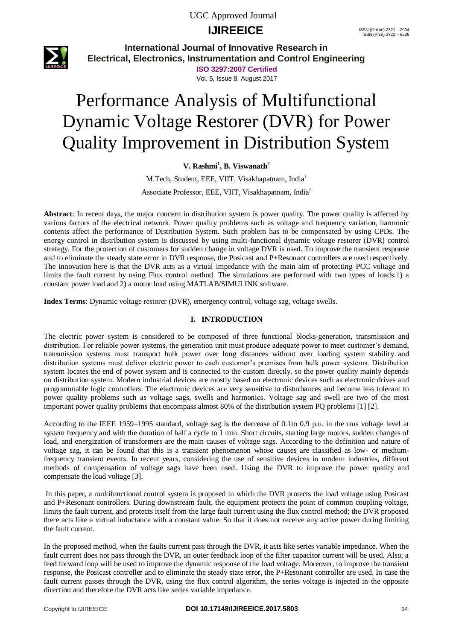# **IJIREEICE** ISSN (Online) 2321 – 2004



**International Journal of Innovative Research in Electrical, Electronics, Instrumentation and Control Engineering**

> **ISO 3297:2007 Certified** Vol. 5, Issue 8, August 2017

# Performance Analysis of Multifunctional Dynamic Voltage Restorer (DVR) for Power Quality Improvement in Distribution System

**V. Rashmi<sup>1</sup> , B. Viswanath<sup>2</sup>**

M.Tech, Student, EEE, VIIT, Visakhapatnam, India<sup>1</sup> Associate Professor, EEE, VIIT, Visakhapatnam, India<sup>2</sup>

**Abstract**: In recent days, the major concern in distribution system is power quality. The power quality is affected by various factors of the electrical network. Power quality problems such as voltage and frequency variation, harmonic contents affect the performance of Distribution System. Such problem has to be compensated by using CPDs. The energy control in distribution system is discussed by using multi-functional dynamic voltage restorer (DVR) control strategy. For the protection of customers for sudden change in voltage DVR is used. To improve the transient response and to eliminate the steady state error in DVR response, the Posicast and P+Resonant controllers are used respectively. The innovation here is that the DVR acts as a virtual impedance with the main aim of protecting PCC voltage and limits the fault current by using Flux control method. The simulations are performed with two types of loads:1) a constant power load and 2) a motor load using MATLAB/SIMULINK software.

**Index Terms**: Dynamic voltage restorer (DVR), emergency control, voltage sag, voltage swells.

### **I. INTRODUCTION**

The electric power system is considered to be composed of three functional blocks-generation, transmission and distribution. For reliable power systems, the generation unit must produce adequate power to meet customer's demand, transmission systems must transport bulk power over long distances without over loading system stability and distribution systems must deliver electric power to each customer's premises from bulk power systems. Distribution system locates the end of power system and is connected to the custom directly, so the power quality mainly depends on distribution system. Modern industrial devices are mostly based on electronic devices such as electronic drives and programmable logic controllers. The electronic devices are very sensitive to disturbances and become less tolerant to power quality problems such as voltage sags, swells and harmonics. Voltage sag and swell are two of the most important power quality problems that encompass almost 80% of the distribution system PQ problems [1] [2].

According to the IEEE 1959–1995 standard, voltage sag is the decrease of 0.1to 0.9 p.u. in the rms voltage level at system frequency and with the duration of half a cycle to 1 min. Short circuits, starting large motors, sudden changes of load, and energization of transformers are the main causes of voltage sags. According to the definition and nature of voltage sag, it can be found that this is a transient phenomenon whose causes are classified as low- or mediumfrequency transient events. In recent years, considering the use of sensitive devices in modern industries, different methods of compensation of voltage sags have been used. Using the DVR to improve the power quality and compensate the load voltage [3].

In this paper, a multifunctional control system is proposed in which the DVR protects the load voltage using Posicast and P+Resonant controllers. During downstream fault, the equipment protects the point of common coupling voltage, limits the fault current, and protects itself from the large fault current using the flux control method; the DVR proposed there acts like a virtual inductance with a constant value. So that it does not receive any active power during limiting the fault current.

In the proposed method, when the faults current pass through the DVR, it acts like series variable impedance. When the fault current does not pass through the DVR, an outer feedback loop of the filter capacitor current will be used. Also, a feed forward loop will be used to improve the dynamic response of the load voltage. Moreover, to improve the transient response, the Posicast controller and to eliminate the steady state error, the P+Resonant controller are used. In case the fault current passes through the DVR, using the flux control algorithm, the series voltage is injected in the opposite direction and therefore the DVR acts like series variable impedance.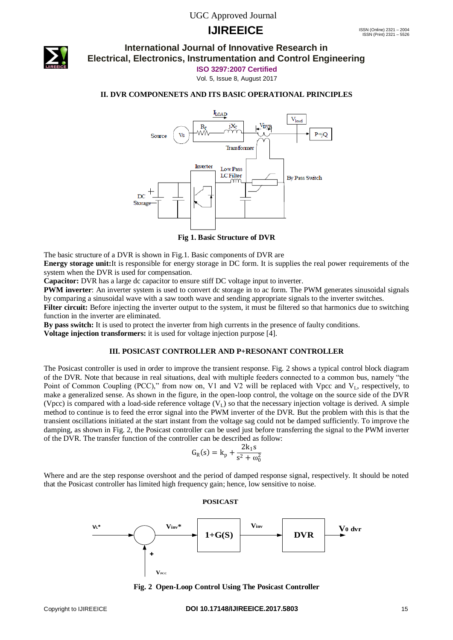

### **International Journal of Innovative Research in Electrical, Electronics, Instrumentation and Control Engineering**

**ISO 3297:2007 Certified**

Vol. 5, Issue 8, August 2017

#### **II. DVR COMPONENETS AND ITS BASIC OPERATIONAL PRINCIPLES**



**Fig 1. Basic Structure of DVR**

The basic structure of a DVR is shown in Fig.1. Basic components of DVR are

**Energy storage unit:**It is responsible for energy storage in DC form. It is supplies the real power requirements of the system when the DVR is used for compensation.

**Capacitor:** DVR has a large dc capacitor to ensure stiff DC voltage input to inverter.

**PWM inverter**: An inverter system is used to convert dc storage in to ac form. The PWM generates sinusoidal signals by comparing a sinusoidal wave with a saw tooth wave and sending appropriate signals to the inverter switches.

Filter circuit: Before injecting the inverter output to the system, it must be filtered so that harmonics due to switching function in the inverter are eliminated.

**By pass switch:** It is used to protect the inverter from high currents in the presence of faulty conditions.

**Voltage injection transformers:** it is used for voltage injection purpose [4].

 $\mathbf{V}_{\mathbf{P}C}$ 

#### **III. POSICAST CONTROLLER AND P+RESONANT CONTROLLER**

The Posicast controller is used in order to improve the transient response. Fig. 2 shows a typical control block diagram of the DVR. Note that because in real situations, deal with multiple feeders connected to a common bus, namely "the Point of Common Coupling (PCC)," from now on, V1 and V2 will be replaced with Vpcc and V<sub>L</sub>, respectively, to make a generalized sense. As shown in the figure, in the open-loop control, the voltage on the source side of the DVR (Vpcc) is compared with a load-side reference voltage  $(V_L)$  so that the necessary injection voltage is derived. A simple method to continue is to feed the error signal into the PWM inverter of the DVR. But the problem with this is that the transient oscillations initiated at the start instant from the voltage sag could not be damped sufficiently. To improve the damping, as shown in Fig. 2, the Posicast controller can be used just before transferring the signal to the PWM inverter of the DVR. The transfer function of the controller can be described as follow:

$$
G_{R}(s) = k_{p} + \frac{2k_{1}s}{s^{2} + \omega_{0}^{2}}
$$

Where and are the step response overshoot and the period of damped response signal, respectively. It should be noted that the Posicast controller has limited high frequency gain; hence, low sensitive to noise.



**Fig. 2 Open-Loop Control Using The Posicast Controller**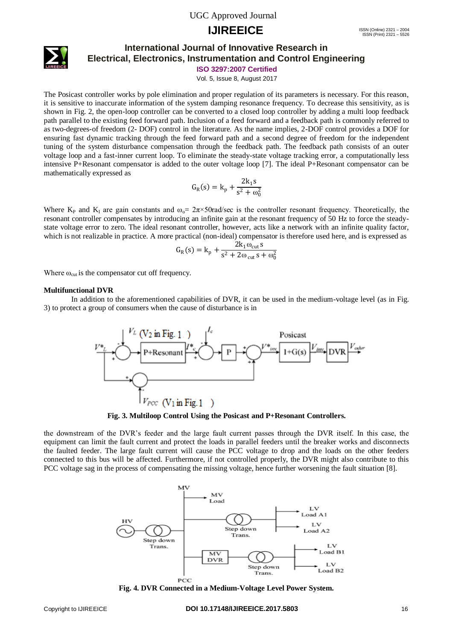# **IJIREEICE** ISSN (Online) 2321 – 2004



### **International Journal of Innovative Research in Electrical, Electronics, Instrumentation and Control Engineering**

**ISO 3297:2007 Certified**

Vol. 5, Issue 8, August 2017

The Posicast controller works by pole elimination and proper regulation of its parameters is necessary. For this reason, it is sensitive to inaccurate information of the system damping resonance frequency. To decrease this sensitivity, as is shown in Fig. 2, the open-loop controller can be converted to a closed loop controller by adding a multi loop feedback path parallel to the existing feed forward path. Inclusion of a feed forward and a feedback path is commonly referred to as two-degrees-of freedom (2- DOF) control in the literature. As the name implies, 2-DOF control provides a DOF for ensuring fast dynamic tracking through the feed forward path and a second degree of freedom for the independent tuning of the system disturbance compensation through the feedback path. The feedback path consists of an outer voltage loop and a fast-inner current loop. To eliminate the steady-state voltage tracking error, a computationally less intensive P+Resonant compensator is added to the outer voltage loop [7]. The ideal P+Resonant compensator can be mathematically expressed as

$$
G_{R}(s) = k_{p} + \frac{2k_{1}s}{s^{2} + \omega_{0}^{2}}
$$

Where K<sub>P</sub> and K<sub>I</sub> are gain constants and  $\omega_0 = 2\pi \times 50 \text{ rad/sec}$  is the controller resonant frequency. Theoretically, the resonant controller compensates by introducing an infinite gain at the resonant frequency of 50 Hz to force the steadystate voltage error to zero. The ideal resonant controller, however, acts like a network with an infinite quality factor, which is not realizable in practice. A more practical (non-ideal) compensator is therefore used here, and is expressed as

$$
G_R(s) = k_p + \frac{2k_1\omega_{\text{cut}}s}{s^2 + 2\omega_{\text{cut}}s + \omega_0^2}
$$

Where  $\omega_{\text{cut}}$  is the compensator cut off frequency.

#### **Multifunctional DVR**

In addition to the aforementioned capabilities of DVR, it can be used in the medium-voltage level (as in Fig. 3) to protect a group of consumers when the cause of disturbance is in



**Fig. 3. Multiloop Control Using the Posicast and P+Resonant Controllers.**

the downstream of the DVR's feeder and the large fault current passes through the DVR itself. In this case, the equipment can limit the fault current and protect the loads in parallel feeders until the breaker works and disconnects the faulted feeder. The large fault current will cause the PCC voltage to drop and the loads on the other feeders connected to this bus will be affected. Furthermore, if not controlled properly, the DVR might also contribute to this PCC voltage sag in the process of compensating the missing voltage, hence further worsening the fault situation [8].



**Fig. 4. DVR Connected in a Medium-Voltage Level Power System.**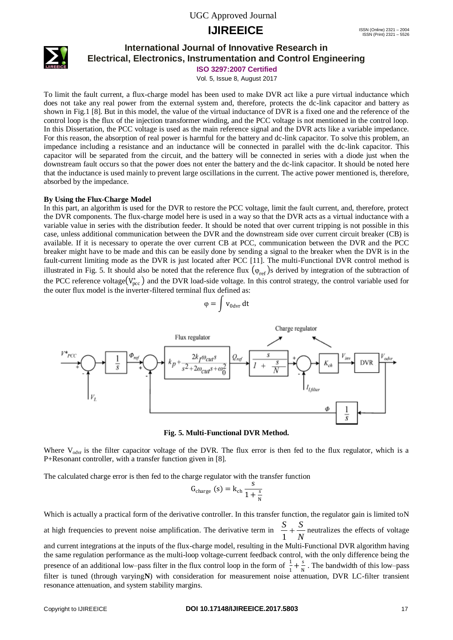

### **International Journal of Innovative Research in Electrical, Electronics, Instrumentation and Control Engineering**

**ISO 3297:2007 Certified**

Vol. 5, Issue 8, August 2017

To limit the fault current, a flux-charge model has been used to make DVR act like a pure virtual inductance which does not take any real power from the external system and, therefore, protects the dc-link capacitor and battery as shown in Fig.1 [8]. But in this model, the value of the virtual inductance of DVR is a fixed one and the reference of the control loop is the flux of the injection transformer winding, and the PCC voltage is not mentioned in the control loop. In this Dissertation, the PCC voltage is used as the main reference signal and the DVR acts like a variable impedance. For this reason, the absorption of real power is harmful for the battery and dc-link capacitor. To solve this problem, an impedance including a resistance and an inductance will be connected in parallel with the dc-link capacitor. This capacitor will be separated from the circuit, and the battery will be connected in series with a diode just when the downstream fault occurs so that the power does not enter the battery and the dc-link capacitor. It should be noted here that the inductance is used mainly to prevent large oscillations in the current. The active power mentioned is, therefore, absorbed by the impedance.

#### **By Using the Flux-Charge Model**

In this part, an algorithm is used for the DVR to restore the PCC voltage, limit the fault current, and, therefore, protect the DVR components. The flux-charge model here is used in a way so that the DVR acts as a virtual inductance with a variable value in series with the distribution feeder. It should be noted that over current tripping is not possible in this case, unless additional communication between the DVR and the downstream side over current circuit breaker (CB) is available. If it is necessary to operate the over current CB at PCC, communication between the DVR and the PCC breaker might have to be made and this can be easily done by sending a signal to the breaker when the DVR is in the fault-current limiting mode as the DVR is just located after PCC [11]. The multi-Functional DVR control method is illustrated in Fig. 5. It should also be noted that the reference flux  $(\varphi_{ref})$ s derived by integration of the subtraction of the PCC reference voltage $(V_{\text{pcc}}^*)$  and the DVR load-side voltage. In this control strategy, the control variable used for the outer flux model is the inverter-filtered terminal flux defined as:

$$
\phi=\int v_{0\text{dvr}}\,dt
$$



**Fig. 5. Multi-Functional DVR Method.**

Where  $V_{\text{odyr}}$  is the filter capacitor voltage of the DVR. The flux error is then fed to the flux regulator, which is a P+Resonant controller, with a transfer function given in [8].

The calculated charge error is then fed to the charge regulator with the transfer function

$$
G_{\text{charge}}(s) = k_{\text{ch}} \frac{s}{1 + \frac{s}{N}}
$$

Which is actually a practical form of the derivative controller. In this transfer function, the regulator gain is limited toN at high frequencies to prevent noise amplification. The derivative term in  $\frac{a}{1} + \frac{b}{N}$  $\frac{S}{S} + \frac{S}{S}$  $\frac{m}{1} + \frac{m}{N}$  neutralizes the effects of voltage and current integrations at the inputs of the flux-charge model, resulting in the Multi-Functional DVR algorithm having the same regulation performance as the multi-loop voltage-current feedback control, with the only difference being the presence of an additional low–pass filter in the flux control loop in the form of  $\frac{1}{1} + \frac{s}{N}$  $\frac{s}{N}$ . The bandwidth of this low–pass filter is tuned (through varying**N**) with consideration for measurement noise attenuation, DVR LC-filter transient resonance attenuation, and system stability margins.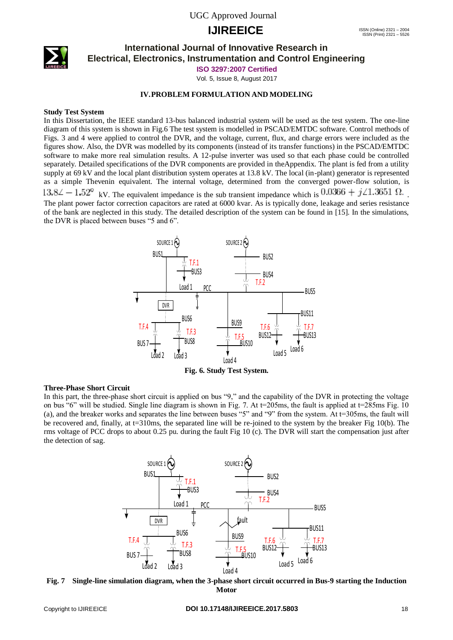

### **International Journal of Innovative Research in Electrical, Electronics, Instrumentation and Control Engineering**

**ISO 3297:2007 Certified**

Vol. 5, Issue 8, August 2017

#### **IV.PROBLEM FORMULATION AND MODELING**

#### **Study Test System**

In this Dissertation, the IEEE standard 13-bus balanced industrial system will be used as the test system. The one-line diagram of this system is shown in Fig.6 The test system is modelled in PSCAD/EMTDC software. Control methods of Figs. 3 and 4 were applied to control the DVR, and the voltage, current, flux, and charge errors were included as the figures show. Also, the DVR was modelled by its components (instead of its transfer functions) in the PSCAD/EMTDC software to make more real simulation results. A 12-pulse inverter was used so that each phase could be controlled separately. Detailed specifications of the DVR components are provided in theAppendix. The plant is fed from a utility supply at 69 kV and the local plant distribution system operates at 13.8 kV. The local (in-plant) generator is represented as a simple Thevenin equivalent. The internal voltage, determined from the converged power-flow solution, is  $13.8\angle -1.52^{\circ}$  kV. The equivalent impedance is the sub transient impedance which is  $0.0366 + j \angle 1.3651 \Omega$ . The plant power factor correction capacitors are rated at 6000 kvar. As is typically done, leakage and series resistance of the bank are neglected in this study. The detailed description of the system can be found in [15]. In the simulations, the DVR is placed between buses "5 and 6".



#### **Three-Phase Short Circuit**

In this part, the three-phase short circuit is applied on bus "9," and the capability of the DVR in protecting the voltage on bus "6" will be studied. Single line diagram is shown in Fig. 7. At  $t=205$ ms, the fault is applied at  $t=285$ ms Fig. 10 (a), and the breaker works and separates the line between buses "5" and "9" from the system. At t=305ms, the fault will be recovered and, finally, at  $t=310$ ms, the separated line will be re-joined to the system by the breaker Fig 10(b). The rms voltage of PCC drops to about 0.25 pu. during the fault Fig 10 (c). The DVR will start the compensation just after the detection of sag.



**Fig. 7 Single-line simulation diagram, when the 3-phase short circuit occurred in Bus-9 starting the Induction Motor**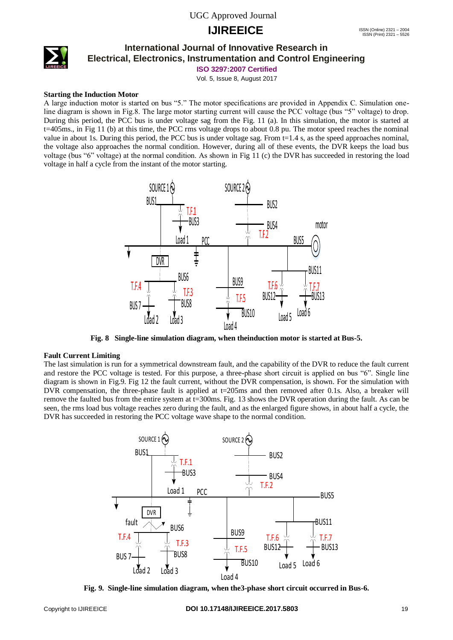

### **International Journal of Innovative Research in Electrical, Electronics, Instrumentation and Control Engineering**

**ISO 3297:2007 Certified**

Vol. 5, Issue 8, August 2017

### **Starting the Induction Motor**

A large induction motor is started on bus "5." The motor specifications are provided in Appendix C. Simulation oneline diagram is shown in Fig.8. The large motor starting current will cause the PCC voltage (bus "5" voltage) to drop. During this period, the PCC bus is under voltage sag from the Fig. 11 (a). In this simulation, the motor is started at t=405ms., in Fig 11 (b) at this time, the PCC rms voltage drops to about 0.8 pu. The motor speed reaches the nominal value in about 1s. During this period, the PCC bus is under voltage sag. From t=1.4 s, as the speed approaches nominal, the voltage also approaches the normal condition. However, during all of these events, the DVR keeps the load bus voltage (bus "6" voltage) at the normal condition. As shown in Fig 11 (c) the DVR has succeeded in restoring the load voltage in half a cycle from the instant of the motor starting.



**Fig. 8 Single-line simulation diagram, when theinduction motor is started at Bus-5.**

#### **Fault Current Limiting**

The last simulation is run for a symmetrical downstream fault, and the capability of the DVR to reduce the fault current and restore the PCC voltage is tested. For this purpose, a three-phase short circuit is applied on bus "6". Single line diagram is shown in Fig.9. Fig 12 the fault current, without the DVR compensation, is shown. For the simulation with DVR compensation, the three-phase fault is applied at  $t=205$  ms and then removed after 0.1s. Also, a breaker will remove the faulted bus from the entire system at t=300ms. Fig. 13 shows the DVR operation during the fault. As can be seen, the rms load bus voltage reaches zero during the fault, and as the enlarged figure shows, in about half a cycle, the DVR has succeeded in restoring the PCC voltage wave shape to the normal condition.

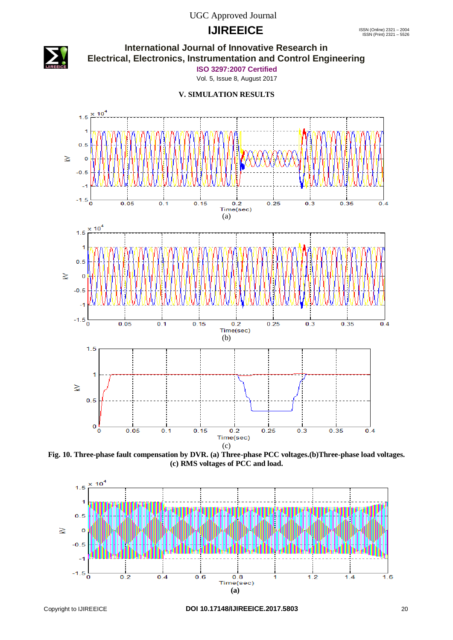# **IJIREEICE** ISSN (Online) 2321 – 2004



## **International Journal of Innovative Research in Electrical, Electronics, Instrumentation and Control Engineering**

**ISO 3297:2007 Certified**

Vol. 5, Issue 8, August 2017

#### **V. SIMULATION RESULTS**



**Fig. 10. Three-phase fault compensation by DVR. (a) Three-phase PCC voltages.(b)Three-phase load voltages. (c) RMS voltages of PCC and load.**

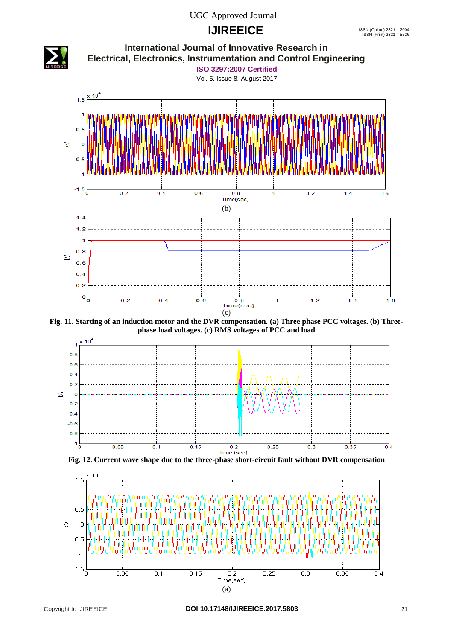# **IJIREEICE** ISSN (Online) 2321 – 2004



**Fig. 11. Starting of an induction motor and the DVR compensation. (a) Three phase PCC voltages. (b) Threephase load voltages. (c) RMS voltages of PCC and load**





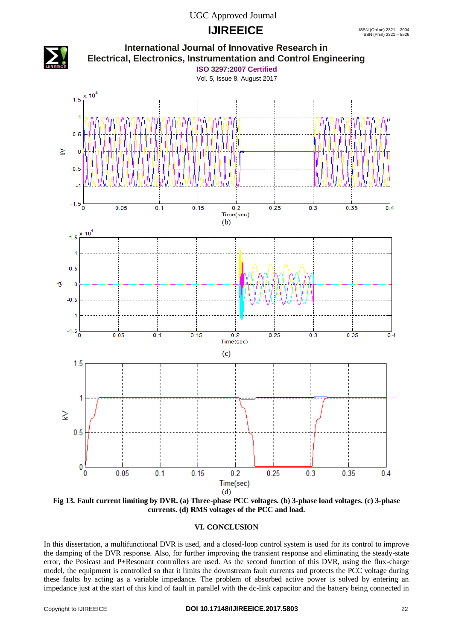# **IJIREEICE** ISSN (Online) 2321 – 2004



**Fig 13. Fault current limiting by DVR. (a) Three-phase PCC voltages. (b) 3-phase load voltages. (c) 3-phase currents. (d) RMS voltages of the PCC and load.**

### **VI. CONCLUSION**

In this dissertation, a multifunctional DVR is used, and a closed-loop control system is used for its control to improve the damping of the DVR response. Also, for further improving the transient response and eliminating the steady-state error, the Posicast and P+Resonant controllers are used. As the second function of this DVR, using the flux-charge model, the equipment is controlled so that it limits the downstream fault currents and protects the PCC voltage during these faults by acting as a variable impedance. The problem of absorbed active power is solved by entering an impedance just at the start of this kind of fault in parallel with the dc-link capacitor and the battery being connected in